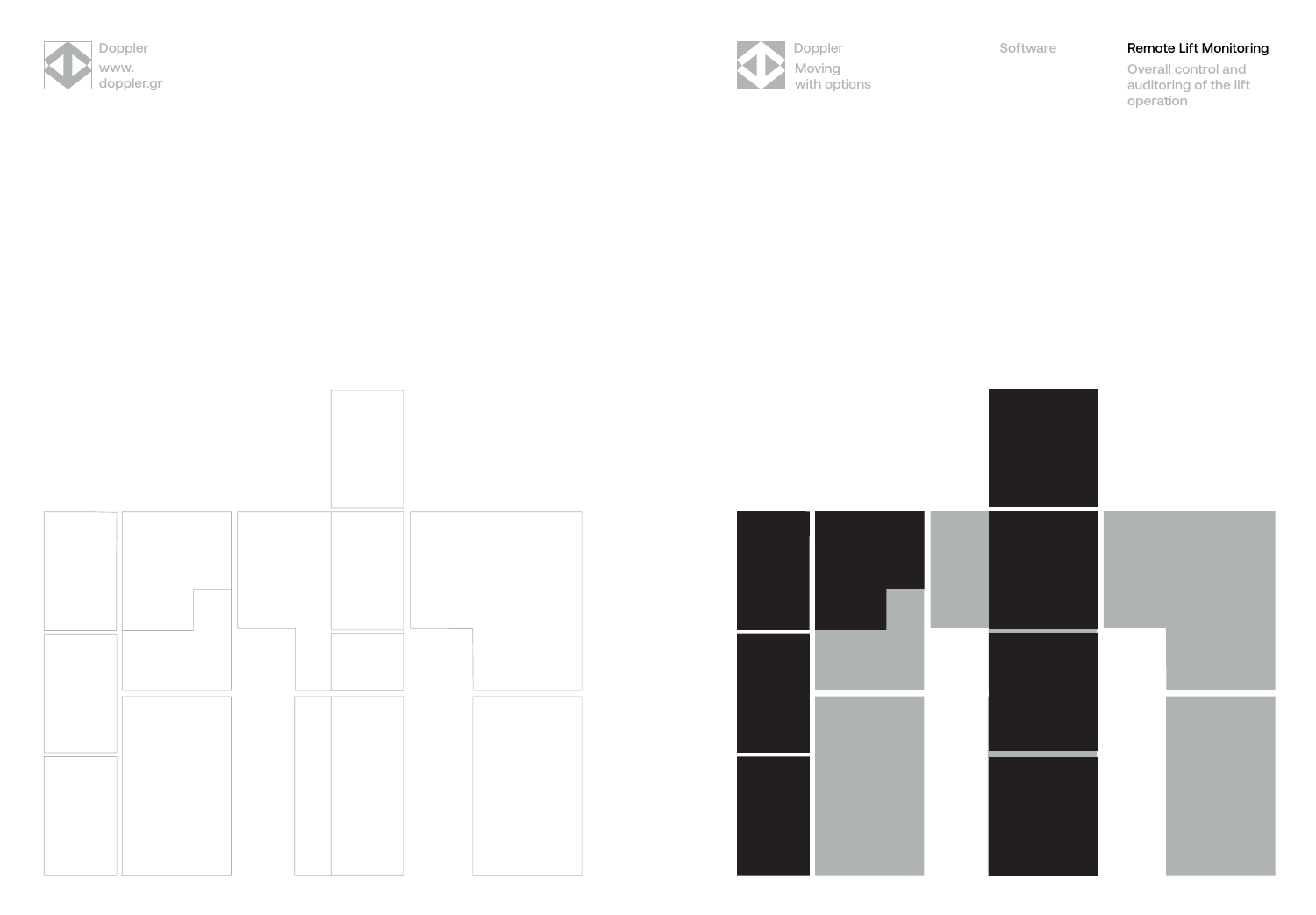







# Doppler Software **Remote Lift Monitoring**

Overall control and auditoring of the lift operation